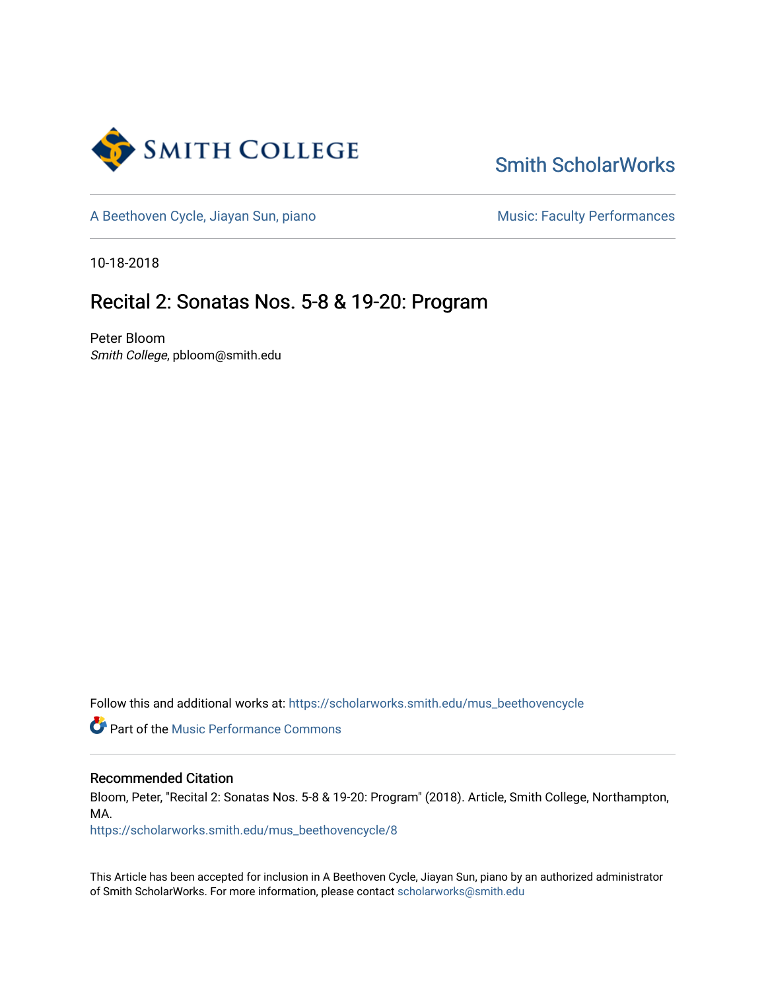

## [Smith ScholarWorks](https://scholarworks.smith.edu/)

[A Beethoven Cycle, Jiayan Sun, piano](https://scholarworks.smith.edu/mus_beethovencycle) Music: Faculty Performances

10-18-2018

### Recital 2: Sonatas Nos. 5-8 & 19-20: Program

Peter Bloom Smith College, pbloom@smith.edu

Follow this and additional works at: [https://scholarworks.smith.edu/mus\\_beethovencycle](https://scholarworks.smith.edu/mus_beethovencycle?utm_source=scholarworks.smith.edu%2Fmus_beethovencycle%2F8&utm_medium=PDF&utm_campaign=PDFCoverPages) 

**Part of the [Music Performance Commons](http://network.bepress.com/hgg/discipline/1128?utm_source=scholarworks.smith.edu%2Fmus_beethovencycle%2F8&utm_medium=PDF&utm_campaign=PDFCoverPages)** 

### Recommended Citation

Bloom, Peter, "Recital 2: Sonatas Nos. 5-8 & 19-20: Program" (2018). Article, Smith College, Northampton, MA.

[https://scholarworks.smith.edu/mus\\_beethovencycle/8](https://scholarworks.smith.edu/mus_beethovencycle/8?utm_source=scholarworks.smith.edu%2Fmus_beethovencycle%2F8&utm_medium=PDF&utm_campaign=PDFCoverPages) 

This Article has been accepted for inclusion in A Beethoven Cycle, Jiayan Sun, piano by an authorized administrator of Smith ScholarWorks. For more information, please contact [scholarworks@smith.edu](mailto:scholarworks@smith.edu)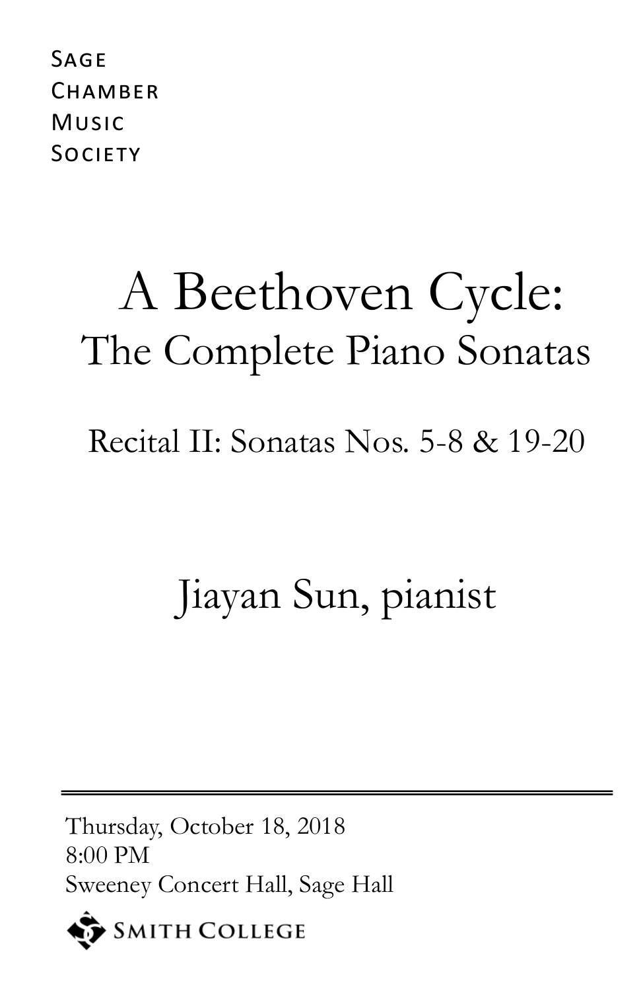**SAGE** CHAMBER Music **SOCIETY** 

# A Beethoven Cycle: The Complete Piano Sonatas

Recital II: Sonatas Nos. 5-8 & 19-20

## Jiayan Sun, pianist

Thursday, October 18, 2018 8:00 PM Sweeney Concert Hall, Sage Hall

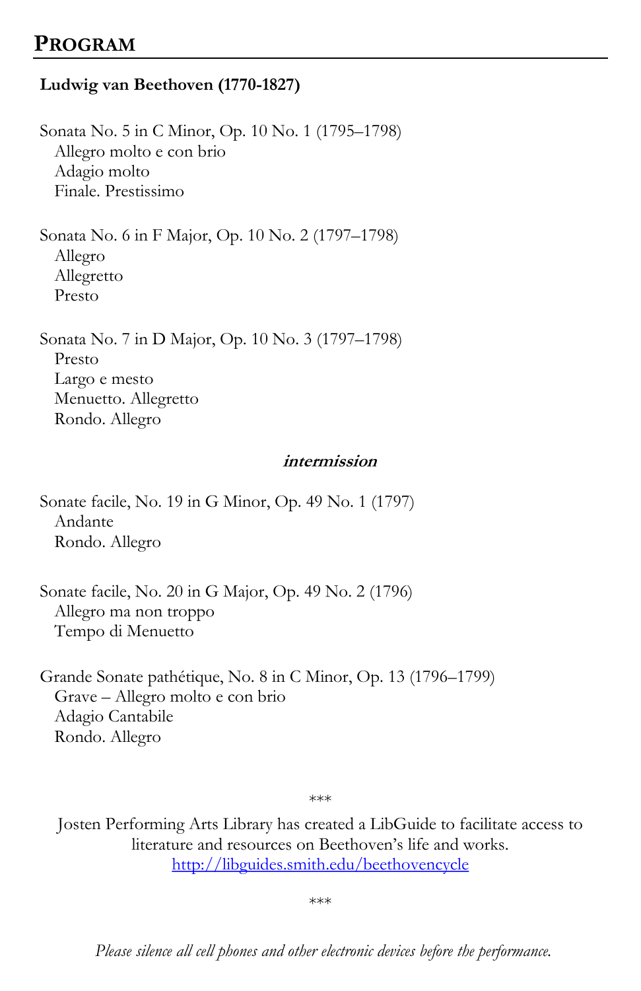### **PROGRAM**

### **Ludwig van Beethoven (1770-1827)**

Sonata No. 5 in C Minor, Op. 10 No. 1 (1795–1798) Allegro molto e con brio Adagio molto Finale. Prestissimo

Sonata No. 6 in F Major, Op. 10 No. 2 (1797–1798) Allegro Allegretto Presto

Sonata No. 7 in D Major, Op. 10 No. 3 (1797–1798) Presto Largo e mesto Menuetto. Allegretto Rondo. Allegro

#### **intermission**

Sonate facile, No. 19 in G Minor, Op. 49 No. 1 (1797) Andante Rondo. Allegro

Sonate facile, No. 20 in G Major, Op. 49 No. 2 (1796) Allegro ma non troppo Tempo di Menuetto

Grande Sonate pathétique, No. 8 in C Minor, Op. 13 (1796–1799) Grave – Allegro molto e con brio Adagio Cantabile Rondo. Allegro

\*\*\*

Josten Performing Arts Library has created a LibGuide to facilitate access to literature and resources on Beethoven's life and works. <http://libguides.smith.edu/beethovencycle>

\*\*\*

*Please silence all cell phones and other electronic devices before the performance.*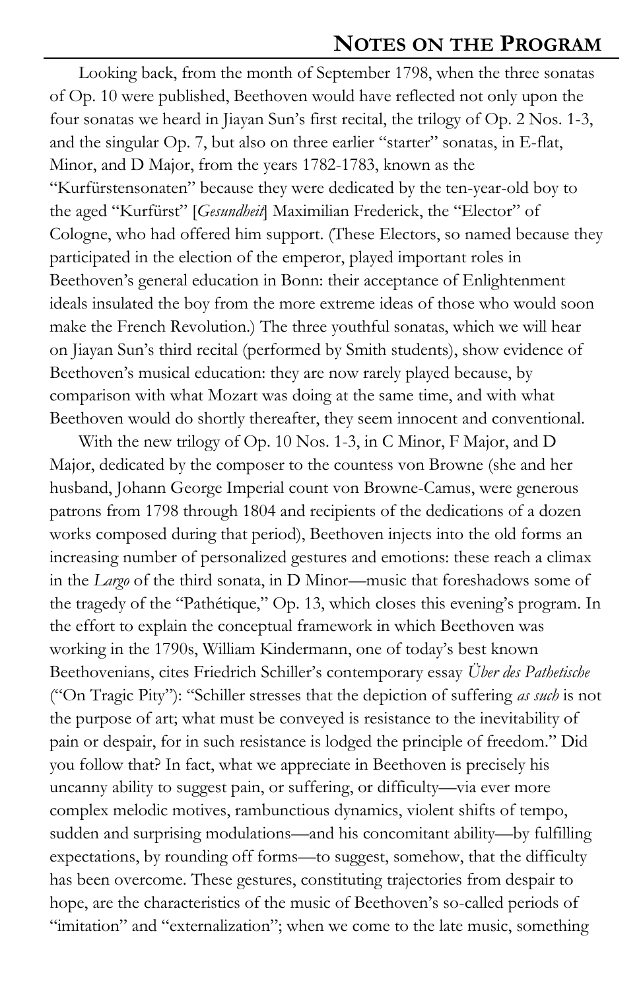Looking back, from the month of September 1798, when the three sonatas of Op. 10 were published, Beethoven would have reflected not only upon the four sonatas we heard in Jiayan Sun's first recital, the trilogy of Op. 2 Nos. 1-3, and the singular Op. 7, but also on three earlier "starter" sonatas, in E-flat, Minor, and D Major, from the years 1782-1783, known as the "Kurfürstensonaten" because they were dedicated by the ten-year-old boy to the aged "Kurfürst" [*Gesundheit*] Maximilian Frederick, the "Elector" of Cologne, who had offered him support. (These Electors, so named because they participated in the election of the emperor, played important roles in Beethoven's general education in Bonn: their acceptance of Enlightenment ideals insulated the boy from the more extreme ideas of those who would soon make the French Revolution.) The three youthful sonatas, which we will hear on Jiayan Sun's third recital (performed by Smith students), show evidence of Beethoven's musical education: they are now rarely played because, by comparison with what Mozart was doing at the same time, and with what Beethoven would do shortly thereafter, they seem innocent and conventional.

With the new trilogy of Op. 10 Nos. 1-3, in C Minor, F Major, and D Major, dedicated by the composer to the countess von Browne (she and her husband, Johann George Imperial count von Browne-Camus, were generous patrons from 1798 through 1804 and recipients of the dedications of a dozen works composed during that period), Beethoven injects into the old forms an increasing number of personalized gestures and emotions: these reach a climax in the *Largo* of the third sonata, in D Minor—music that foreshadows some of the tragedy of the "Pathétique," Op. 13, which closes this evening's program. In the effort to explain the conceptual framework in which Beethoven was working in the 1790s, William Kindermann, one of today's best known Beethovenians, cites Friedrich Schiller's contemporary essay *Über des Pathetische*  ("On Tragic Pity"): "Schiller stresses that the depiction of suffering *as such* is not the purpose of art; what must be conveyed is resistance to the inevitability of pain or despair, for in such resistance is lodged the principle of freedom." Did you follow that? In fact, what we appreciate in Beethoven is precisely his uncanny ability to suggest pain, or suffering, or difficulty—via ever more complex melodic motives, rambunctious dynamics, violent shifts of tempo, sudden and surprising modulations—and his concomitant ability—by fulfilling expectations, by rounding off forms—to suggest, somehow, that the difficulty has been overcome. These gestures, constituting trajectories from despair to hope, are the characteristics of the music of Beethoven's so-called periods of "imitation" and "externalization"; when we come to the late music, something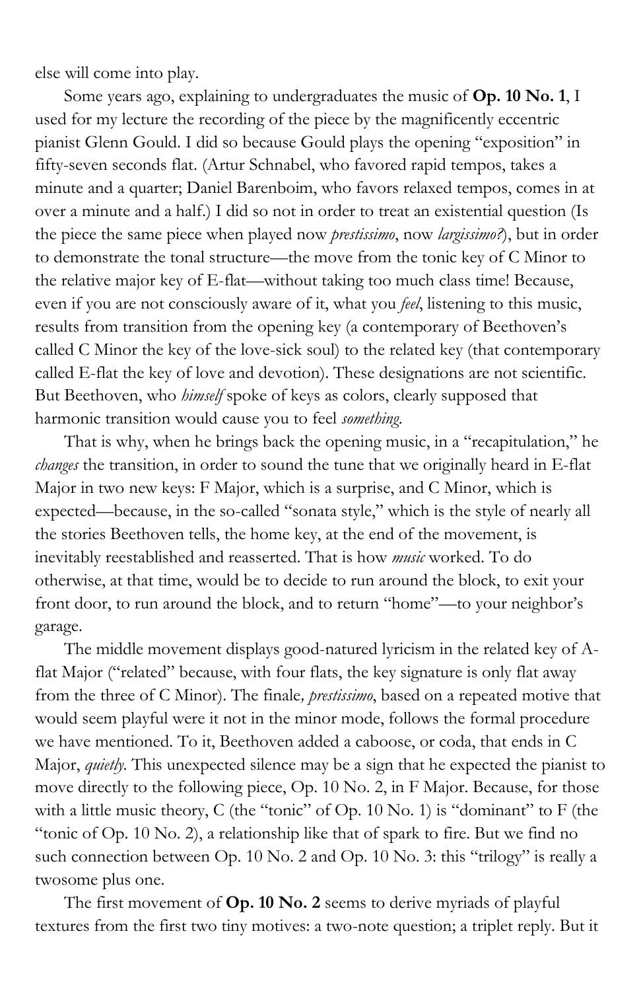else will come into play.

Some years ago, explaining to undergraduates the music of **Op. 10 No. 1**, I used for my lecture the recording of the piece by the magnificently eccentric pianist Glenn Gould. I did so because Gould plays the opening "exposition" in fifty-seven seconds flat. (Artur Schnabel, who favored rapid tempos, takes a minute and a quarter; Daniel Barenboim, who favors relaxed tempos, comes in at over a minute and a half.) I did so not in order to treat an existential question (Is the piece the same piece when played now *prestissimo*, now *largissimo?*), but in order to demonstrate the tonal structure—the move from the tonic key of C Minor to the relative major key of E-flat—without taking too much class time! Because, even if you are not consciously aware of it, what you *feel*, listening to this music, results from transition from the opening key (a contemporary of Beethoven's called C Minor the key of the love-sick soul) to the related key (that contemporary called E-flat the key of love and devotion). These designations are not scientific. But Beethoven, who *himself* spoke of keys as colors, clearly supposed that harmonic transition would cause you to feel *something*.

That is why, when he brings back the opening music, in a "recapitulation," he *changes* the transition, in order to sound the tune that we originally heard in E-flat Major in two new keys: F Major, which is a surprise, and C Minor, which is expected—because, in the so-called "sonata style," which is the style of nearly all the stories Beethoven tells, the home key, at the end of the movement, is inevitably reestablished and reasserted. That is how *music* worked. To do otherwise, at that time, would be to decide to run around the block, to exit your front door, to run around the block, and to return "home"—to your neighbor's garage.

The middle movement displays good-natured lyricism in the related key of Aflat Major ("related" because, with four flats, the key signature is only flat away from the three of C Minor). The finale*, prestissimo*, based on a repeated motive that would seem playful were it not in the minor mode, follows the formal procedure we have mentioned. To it, Beethoven added a caboose, or coda, that ends in C Major, *quietly.* This unexpected silence may be a sign that he expected the pianist to move directly to the following piece, Op. 10 No. 2, in F Major. Because, for those with a little music theory, C (the "tonic" of Op. 10 No. 1) is "dominant" to F (the "tonic of Op. 10 No. 2), a relationship like that of spark to fire. But we find no such connection between Op. 10 No. 2 and Op. 10 No. 3: this "trilogy" is really a twosome plus one.

The first movement of **Op. 10 No. 2** seems to derive myriads of playful textures from the first two tiny motives: a two-note question; a triplet reply. But it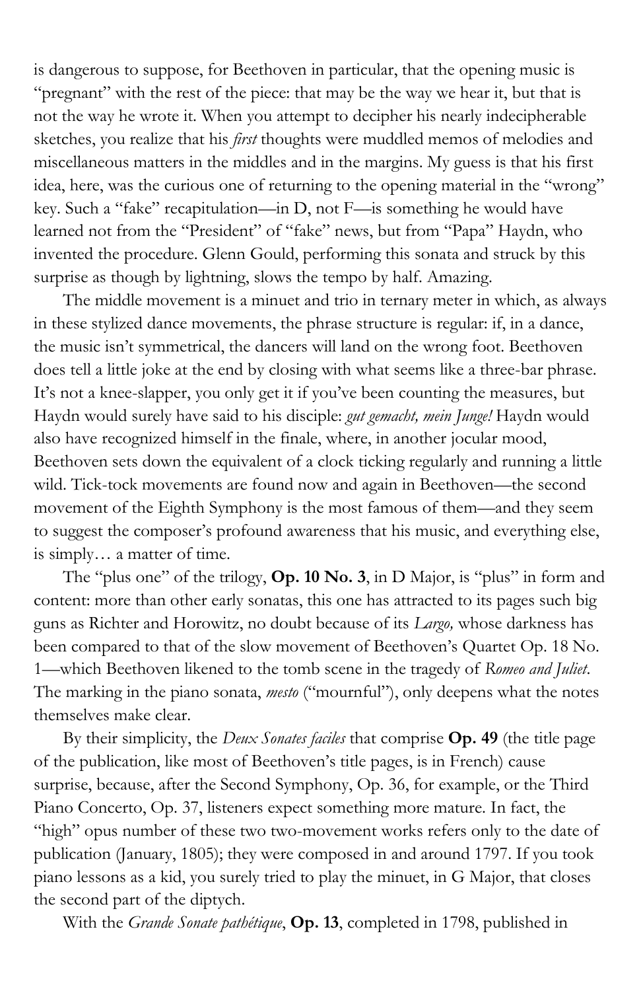is dangerous to suppose, for Beethoven in particular, that the opening music is "pregnant" with the rest of the piece: that may be the way we hear it, but that is not the way he wrote it. When you attempt to decipher his nearly indecipherable sketches, you realize that his *first* thoughts were muddled memos of melodies and miscellaneous matters in the middles and in the margins. My guess is that his first idea, here, was the curious one of returning to the opening material in the "wrong" key. Such a "fake" recapitulation—in D, not F—is something he would have learned not from the "President" of "fake" news, but from "Papa" Haydn, who invented the procedure. Glenn Gould, performing this sonata and struck by this surprise as though by lightning, slows the tempo by half. Amazing.

The middle movement is a minuet and trio in ternary meter in which, as always in these stylized dance movements, the phrase structure is regular: if, in a dance, the music isn't symmetrical, the dancers will land on the wrong foot. Beethoven does tell a little joke at the end by closing with what seems like a three-bar phrase. It's not a knee-slapper, you only get it if you've been counting the measures, but Haydn would surely have said to his disciple: *gut gemacht, mein Junge!* Haydn would also have recognized himself in the finale, where, in another jocular mood, Beethoven sets down the equivalent of a clock ticking regularly and running a little wild. Tick-tock movements are found now and again in Beethoven—the second movement of the Eighth Symphony is the most famous of them—and they seem to suggest the composer's profound awareness that his music, and everything else, is simply… a matter of time.

The "plus one" of the trilogy, **Op. 10 No. 3**, in D Major, is "plus" in form and content: more than other early sonatas, this one has attracted to its pages such big guns as Richter and Horowitz, no doubt because of its *Largo,* whose darkness has been compared to that of the slow movement of Beethoven's Quartet Op. 18 No. 1—which Beethoven likened to the tomb scene in the tragedy of *Romeo and Juliet*. The marking in the piano sonata, *mesto* ("mournful"), only deepens what the notes themselves make clear.

By their simplicity, the *Deux Sonates faciles* that comprise **Op. 49** (the title page of the publication, like most of Beethoven's title pages, is in French) cause surprise, because, after the Second Symphony, Op. 36, for example, or the Third Piano Concerto, Op. 37, listeners expect something more mature. In fact, the "high" opus number of these two two-movement works refers only to the date of publication (January, 1805); they were composed in and around 1797. If you took piano lessons as a kid, you surely tried to play the minuet, in G Major, that closes the second part of the diptych.

With the *Grande Sonate pathétique*, **Op. 13**, completed in 1798, published in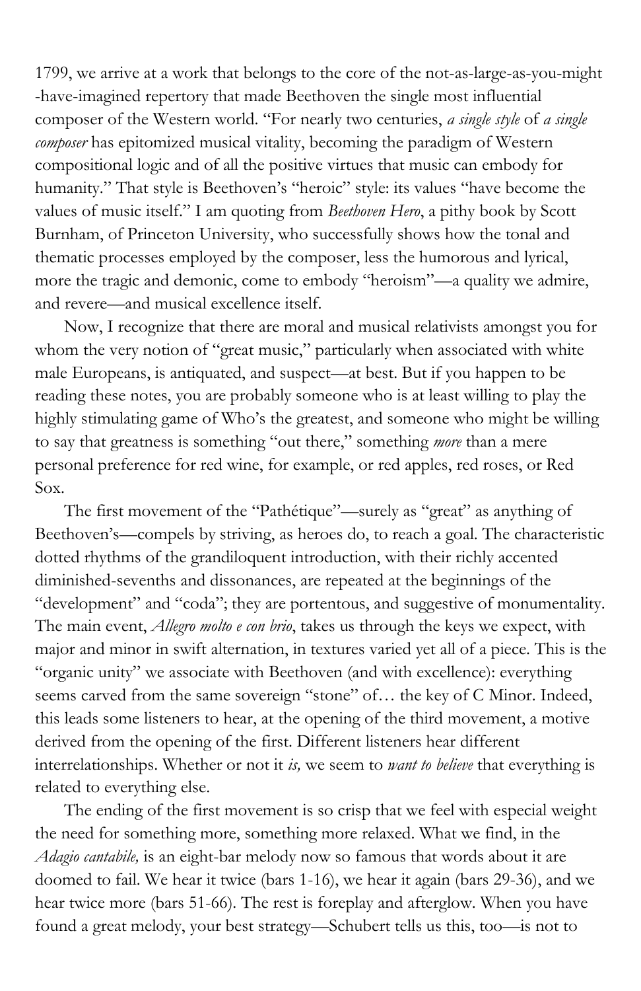1799, we arrive at a work that belongs to the core of the not-as-large-as-you-might -have-imagined repertory that made Beethoven the single most influential composer of the Western world. "For nearly two centuries, *a single style* of *a single composer* has epitomized musical vitality, becoming the paradigm of Western compositional logic and of all the positive virtues that music can embody for humanity." That style is Beethoven's "heroic" style: its values "have become the values of music itself." I am quoting from *Beethoven Hero*, a pithy book by Scott Burnham, of Princeton University, who successfully shows how the tonal and thematic processes employed by the composer, less the humorous and lyrical, more the tragic and demonic, come to embody "heroism"—a quality we admire, and revere—and musical excellence itself.

Now, I recognize that there are moral and musical relativists amongst you for whom the very notion of "great music," particularly when associated with white male Europeans, is antiquated, and suspect—at best. But if you happen to be reading these notes, you are probably someone who is at least willing to play the highly stimulating game of Who's the greatest, and someone who might be willing to say that greatness is something "out there," something *more* than a mere personal preference for red wine, for example, or red apples, red roses, or Red Sox.

The first movement of the "Pathétique"—surely as "great" as anything of Beethoven's—compels by striving, as heroes do, to reach a goal. The characteristic dotted rhythms of the grandiloquent introduction, with their richly accented diminished-sevenths and dissonances, are repeated at the beginnings of the "development" and "coda"; they are portentous, and suggestive of monumentality. The main event, *Allegro molto e con brio*, takes us through the keys we expect, with major and minor in swift alternation, in textures varied yet all of a piece. This is the "organic unity" we associate with Beethoven (and with excellence): everything seems carved from the same sovereign "stone" of... the key of C Minor. Indeed, this leads some listeners to hear, at the opening of the third movement, a motive derived from the opening of the first. Different listeners hear different interrelationships. Whether or not it *is,* we seem to *want to believe* that everything is related to everything else.

The ending of the first movement is so crisp that we feel with especial weight the need for something more, something more relaxed. What we find, in the *Adagio cantabile,* is an eight-bar melody now so famous that words about it are doomed to fail. We hear it twice (bars 1-16), we hear it again (bars 29-36), and we hear twice more (bars 51-66). The rest is foreplay and afterglow. When you have found a great melody, your best strategy—Schubert tells us this, too—is not to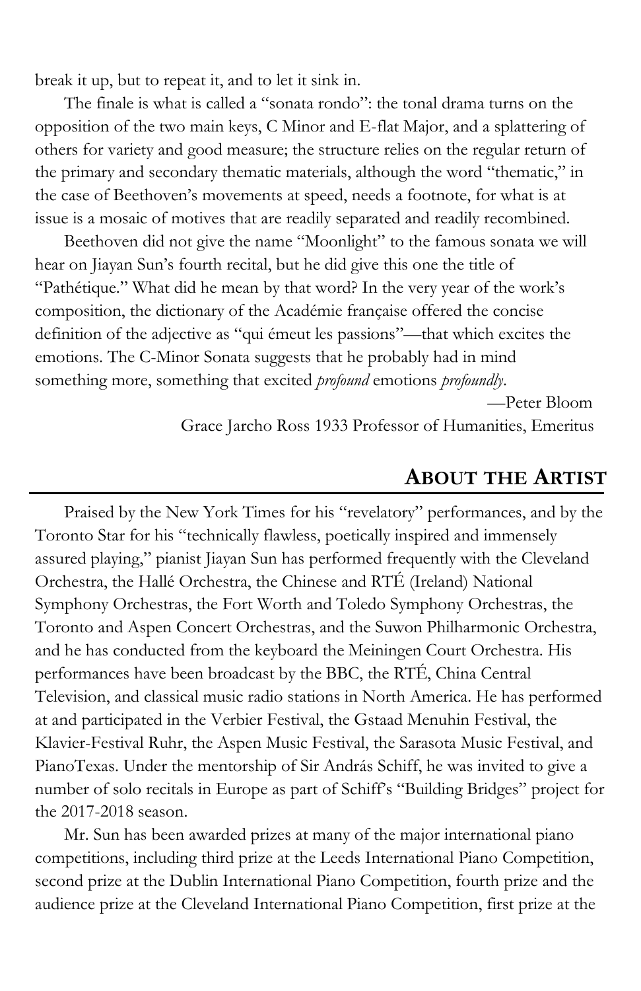break it up, but to repeat it, and to let it sink in.

The finale is what is called a "sonata rondo": the tonal drama turns on the opposition of the two main keys, C Minor and E-flat Major, and a splattering of others for variety and good measure; the structure relies on the regular return of the primary and secondary thematic materials, although the word "thematic," in the case of Beethoven's movements at speed, needs a footnote, for what is at issue is a mosaic of motives that are readily separated and readily recombined.

Beethoven did not give the name "Moonlight" to the famous sonata we will hear on Jiayan Sun's fourth recital, but he did give this one the title of "Pathétique." What did he mean by that word? In the very year of the work's composition, the dictionary of the Académie française offered the concise definition of the adjective as "qui émeut les passions"—that which excites the emotions. The C-Minor Sonata suggests that he probably had in mind something more, something that excited *profound* emotions *profoundly*.

> —Peter Bloom Grace Jarcho Ross 1933 Professor of Humanities, Emeritus

### **ABOUT THE ARTIST**

Praised by the New York Times for his "revelatory" performances, and by the Toronto Star for his "technically flawless, poetically inspired and immensely assured playing," pianist Jiayan Sun has performed frequently with the Cleveland Orchestra, the Hallé Orchestra, the Chinese and RTÉ (Ireland) National Symphony Orchestras, the Fort Worth and Toledo Symphony Orchestras, the Toronto and Aspen Concert Orchestras, and the Suwon Philharmonic Orchestra, and he has conducted from the keyboard the Meiningen Court Orchestra. His performances have been broadcast by the BBC, the RTÉ, China Central Television, and classical music radio stations in North America. He has performed at and participated in the Verbier Festival, the Gstaad Menuhin Festival, the Klavier-Festival Ruhr, the Aspen Music Festival, the Sarasota Music Festival, and PianoTexas. Under the mentorship of Sir András Schiff, he was invited to give a number of solo recitals in Europe as part of Schiff's "Building Bridges" project for the 2017-2018 season.

Mr. Sun has been awarded prizes at many of the major international piano competitions, including third prize at the Leeds International Piano Competition, second prize at the Dublin International Piano Competition, fourth prize and the audience prize at the Cleveland International Piano Competition, first prize at the